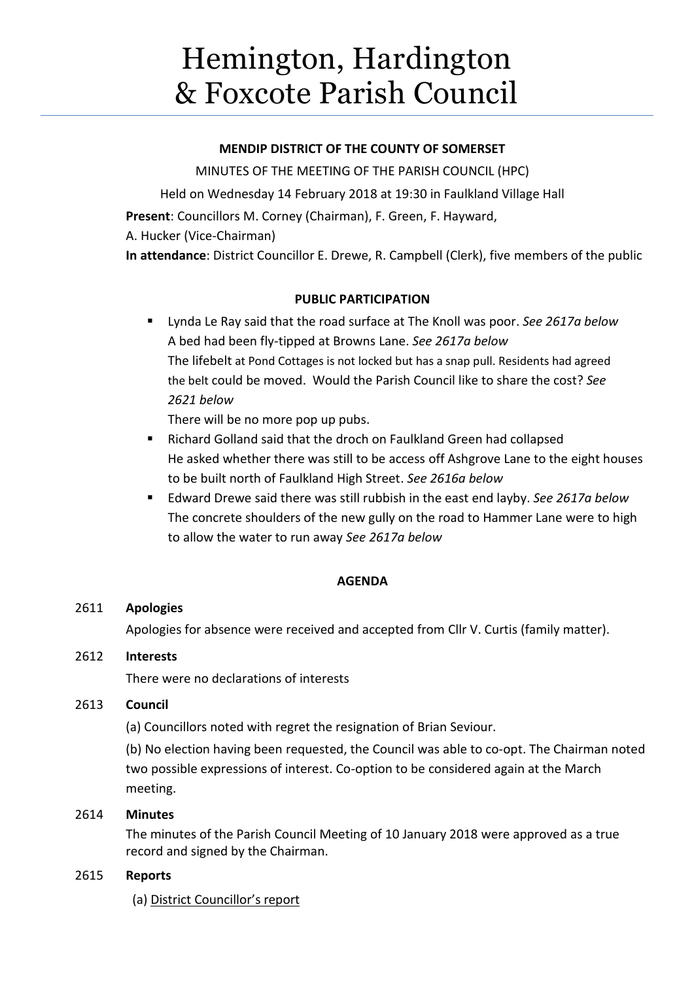# Hemington, Hardington & Foxcote Parish Council

#### **MENDIP DISTRICT OF THE COUNTY OF SOMERSET**

MINUTES OF THE MEETING OF THE PARISH COUNCIL (HPC) Held on Wednesday 14 February 2018 at 19:30 in Faulkland Village Hall **Present**: Councillors M. Corney (Chairman), F. Green, F. Hayward, A. Hucker (Vice-Chairman) **In attendance**: District Councillor E. Drewe, R. Campbell (Clerk), five members of the public

## **PUBLIC PARTICIPATION**

 Lynda Le Ray said that the road surface at The Knoll was poor. *See 2617a below* A bed had been fly-tipped at Browns Lane. *See 2617a below* The lifebelt at Pond Cottages is not locked but has a snap pull. Residents had agreed the belt could be moved. Would the Parish Council like to share the cost? *See 2621 below*

There will be no more pop up pubs.

- Richard Golland said that the droch on Faulkland Green had collapsed He asked whether there was still to be access off Ashgrove Lane to the eight houses to be built north of Faulkland High Street. *See 2616a below*
- Edward Drewe said there was still rubbish in the east end layby. *See 2617a below* The concrete shoulders of the new gully on the road to Hammer Lane were to high to allow the water to run away *See 2617a below*

## **AGENDA**

## 2611 **Apologies**

Apologies for absence were received and accepted from Cllr V. Curtis (family matter).

## 2612 **Interests**

There were no declarations of interests

## 2613 **Council**

(a) Councillors noted with regret the resignation of Brian Seviour.

(b) No election having been requested, the Council was able to co-opt. The Chairman noted two possible expressions of interest. Co-option to be considered again at the March meeting.

## 2614 **Minutes**

The minutes of the Parish Council Meeting of 10 January 2018 were approved as a true record and signed by the Chairman.

## 2615 **Reports**

(a) District Councillor's report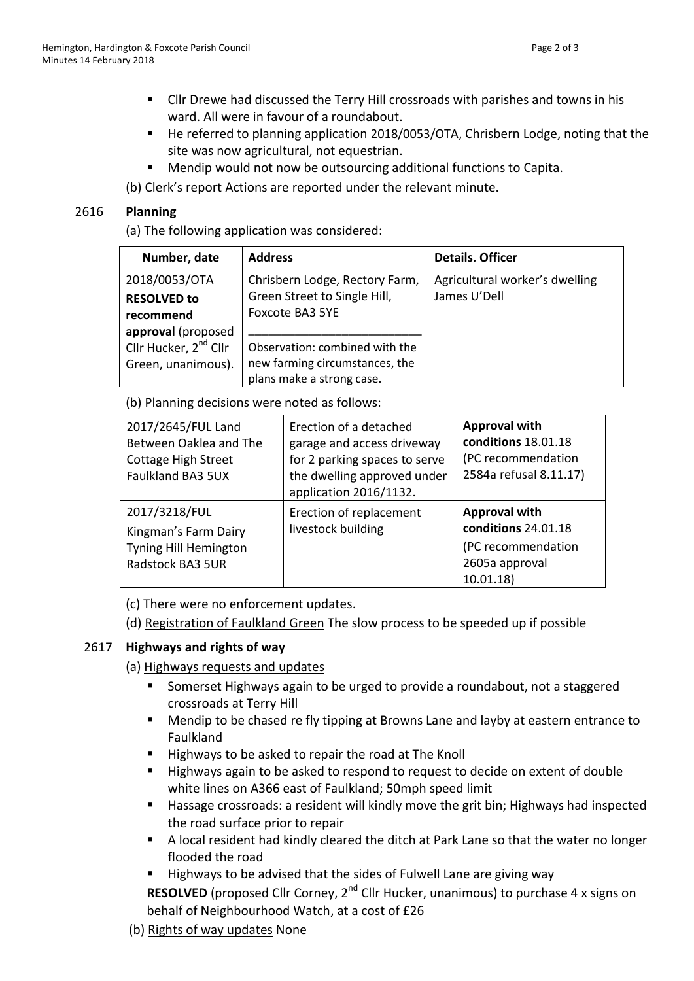- Cllr Drewe had discussed the Terry Hill crossroads with parishes and towns in his ward. All were in favour of a roundabout.
- He referred to planning application 2018/0053/OTA, Chrisbern Lodge, noting that the site was now agricultural, not equestrian.
- Mendip would not now be outsourcing additional functions to Capita.
- (b) Clerk's report Actions are reported under the relevant minute.

#### 2616 **Planning**

(a) The following application was considered:

| Number, date                      | <b>Address</b>                 | <b>Details. Officer</b>        |
|-----------------------------------|--------------------------------|--------------------------------|
| 2018/0053/OTA                     | Chrisbern Lodge, Rectory Farm, | Agricultural worker's dwelling |
| <b>RESOLVED to</b>                | Green Street to Single Hill,   | James U'Dell                   |
| recommend                         | <b>Foxcote BA3 5YE</b>         |                                |
| approval (proposed                |                                |                                |
| Cllr Hucker, 2 <sup>nd</sup> Cllr | Observation: combined with the |                                |
| Green, unanimous).                | new farming circumstances, the |                                |
|                                   | plans make a strong case.      |                                |

(b) Planning decisions were noted as follows:

| 2017/2645/FUL Land<br>Between Oaklea and The<br><b>Cottage High Street</b><br>Faulkland BA3 5UX | Erection of a detached<br>garage and access driveway<br>for 2 parking spaces to serve<br>the dwelling approved under<br>application 2016/1132. | <b>Approval with</b><br>conditions 18.01.18<br>(PC recommendation<br>2584a refusal 8.11.17)     |
|-------------------------------------------------------------------------------------------------|------------------------------------------------------------------------------------------------------------------------------------------------|-------------------------------------------------------------------------------------------------|
| 2017/3218/FUL<br>Kingman's Farm Dairy<br>Tyning Hill Hemington<br>Radstock BA3 5UR              | Erection of replacement<br>livestock building                                                                                                  | <b>Approval with</b><br>conditions 24.01.18<br>(PC recommendation<br>2605a approval<br>10.01.18 |

(c) There were no enforcement updates.

(d) Registration of Faulkland Green The slow process to be speeded up if possible

## 2617 **Highways and rights of way**

- (a) Highways requests and updates
	- Somerset Highways again to be urged to provide a roundabout, not a staggered crossroads at Terry Hill
	- **Mendip to be chased re fly tipping at Browns Lane and layby at eastern entrance to** Faulkland
	- Highways to be asked to repair the road at The Knoll
	- Highways again to be asked to respond to request to decide on extent of double white lines on A366 east of Faulkland; 50mph speed limit
	- Hassage crossroads: a resident will kindly move the grit bin; Highways had inspected the road surface prior to repair
	- A local resident had kindly cleared the ditch at Park Lane so that the water no longer flooded the road
	- Highways to be advised that the sides of Fulwell Lane are giving way

**RESOLVED** (proposed Cllr Corney, 2<sup>nd</sup> Cllr Hucker, unanimous) to purchase 4 x signs on behalf of Neighbourhood Watch, at a cost of £26

(b) Rights of way updates None